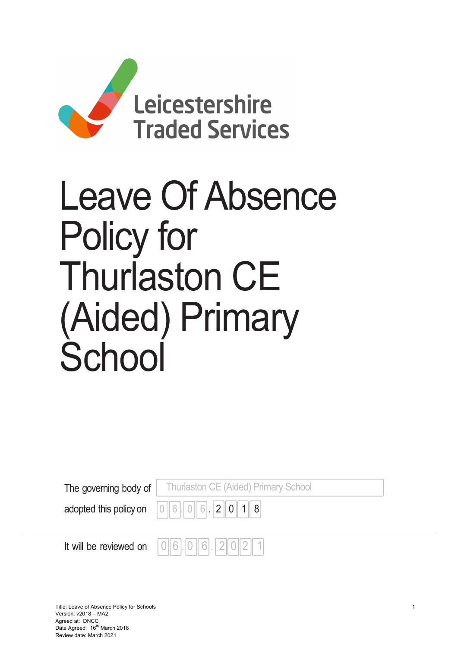

# Leave Of Absence Policy for Thurlaston CE (Aided) Primary School

| <b>The governing body of</b>   Thurlaston CE (Aided) Primary School                                            |
|----------------------------------------------------------------------------------------------------------------|
| adopted this policy on $\begin{bmatrix} 0 & 6 \end{bmatrix}$ $\begin{bmatrix} 6 & 0 & 6 \end{bmatrix}$ 2 0 1 8 |
|                                                                                                                |

It will be reviewed on  $\|0\|6$ .  $|0\|6$ .  $|2\|0\|2\|1$ 

Title: Leave of Absence Policy for Schools 1 Version: v2018 – MA2 Agreed at: DNCC Date Agreed: 16<sup>th</sup> March 2018 Review date: March 2021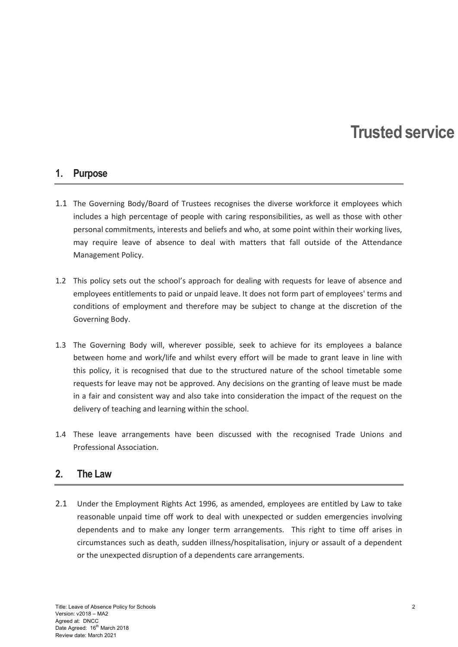## Trusted service

#### 1. Purpose

- 1.1 The Governing Body/Board of Trustees recognises the diverse workforce it employees which includes a high percentage of people with caring responsibilities, as well as those with other personal commitments, interests and beliefs and who, at some point within their working lives, may require leave of absence to deal with matters that fall outside of the Attendance Management Policy.
- 1.2 This policy sets out the school's approach for dealing with requests for leave of absence and employees entitlements to paid or unpaid leave. It does not form part of employees' terms and conditions of employment and therefore may be subject to change at the discretion of the Governing Body.
- 1.3 The Governing Body will, wherever possible, seek to achieve for its employees a balance between home and work/life and whilst every effort will be made to grant leave in line with this policy, it is recognised that due to the structured nature of the school timetable some requests for leave may not be approved. Any decisions on the granting of leave must be made in a fair and consistent way and also take into consideration the impact of the request on the delivery of teaching and learning within the school.
- 1.4 These leave arrangements have been discussed with the recognised Trade Unions and Professional Association.

#### 2. The Law

2.1 Under the Employment Rights Act 1996, as amended, employees are entitled by Law to take reasonable unpaid time off work to deal with unexpected or sudden emergencies involving dependents and to make any longer term arrangements. This right to time off arises in circumstances such as death, sudden illness/hospitalisation, injury or assault of a dependent or the unexpected disruption of a dependents care arrangements.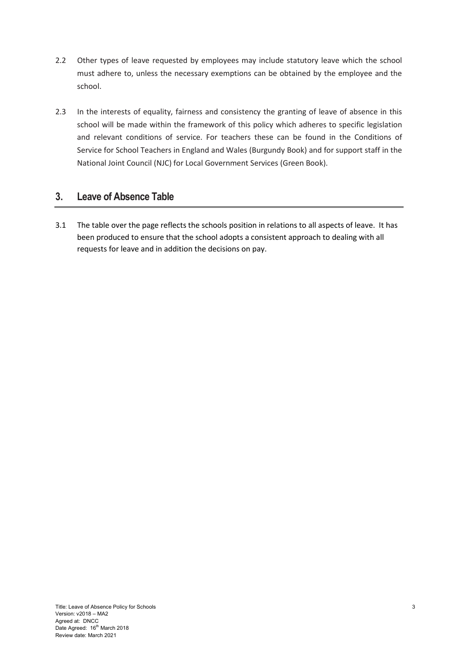- 2.2 Other types of leave requested by employees may include statutory leave which the school must adhere to, unless the necessary exemptions can be obtained by the employee and the school.
- 2.3 In the interests of equality, fairness and consistency the granting of leave of absence in this school will be made within the framework of this policy which adheres to specific legislation and relevant conditions of service. For teachers these can be found in the Conditions of Service for School Teachers in England and Wales (Burgundy Book) and for support staff in the National Joint Council (NJC) for Local Government Services (Green Book).

#### 3. Leave of Absence Table

3.1 The table over the page reflects the schools position in relations to all aspects of leave. It has been produced to ensure that the school adopts a consistent approach to dealing with all requests for leave and in addition the decisions on pay.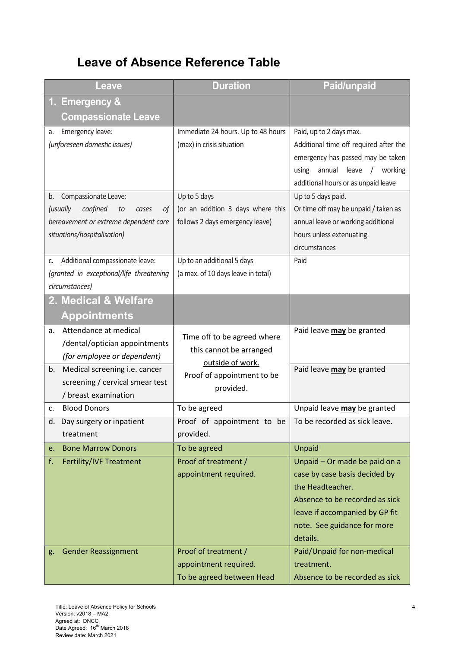### Leave of Absence Reference Table

| Leave                                     | <b>Duration</b>                    | <b>Paid/unpaid</b>                     |
|-------------------------------------------|------------------------------------|----------------------------------------|
| 1. Emergency &                            |                                    |                                        |
| <b>Compassionate Leave</b>                |                                    |                                        |
| Emergency leave:<br>a.                    | Immediate 24 hours. Up to 48 hours | Paid, up to 2 days max.                |
| (unforeseen domestic issues)              | (max) in crisis situation          | Additional time off required after the |
|                                           |                                    | emergency has passed may be taken      |
|                                           |                                    | using annual leave /<br>working        |
|                                           |                                    | additional hours or as unpaid leave    |
| Compassionate Leave:<br>b.                | Up to 5 days                       | Up to 5 days paid.                     |
| confined<br>(usually<br>to<br>οf<br>cases | (or an addition 3 days where this  | Or time off may be unpaid / taken as   |
| bereavement or extreme dependent care     | follows 2 days emergency leave)    | annual leave or working additional     |
| situations/hospitalisation)               |                                    | hours unless extenuating               |
|                                           |                                    | circumstances                          |
| Additional compassionate leave:<br>C.     | Up to an additional 5 days         | Paid                                   |
| (granted in exceptional/life threatening  | (a max. of 10 days leave in total) |                                        |
| circumstances)                            |                                    |                                        |
| 2. Medical & Welfare                      |                                    |                                        |
| <b>Appointments</b>                       |                                    |                                        |
| Attendance at medical<br>a.               |                                    | Paid leave may be granted              |
| /dental/optician appointments             | Time off to be agreed where        |                                        |
| (for employee or dependent)               | this cannot be arranged            |                                        |
| Medical screening i.e. cancer<br>b.       | outside of work.                   | Paid leave may be granted              |
| screening / cervical smear test           | Proof of appointment to be         |                                        |
| / breast examination                      | provided.                          |                                        |
| <b>Blood Donors</b><br>c.                 | To be agreed                       | Unpaid leave may be granted            |
| d. Day surgery or inpatient               | Proof of appointment to be         | To be recorded as sick leave.          |
| treatment                                 | provided.                          |                                        |
| <b>Bone Marrow Donors</b><br>e.           | To be agreed                       | Unpaid                                 |
| f.<br>Fertility/IVF Treatment             | Proof of treatment /               | Unpaid - Or made be paid on a          |
|                                           | appointment required.              | case by case basis decided by          |
|                                           |                                    | the Headteacher.                       |
|                                           |                                    | Absence to be recorded as sick         |
|                                           |                                    | leave if accompanied by GP fit         |
|                                           |                                    | note. See guidance for more            |
|                                           |                                    | details.                               |
| <b>Gender Reassignment</b><br>g.          | Proof of treatment /               | Paid/Unpaid for non-medical            |
|                                           | appointment required.              | treatment.                             |
|                                           | To be agreed between Head          | Absence to be recorded as sick         |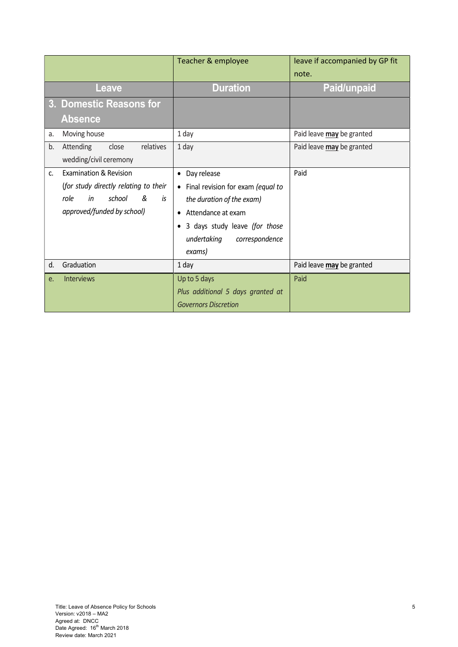| Leave                                                                                                                                             | <b>Duration</b>                                                                                                                                                                                               | note.<br><b>Paid/unpaid</b>       |
|---------------------------------------------------------------------------------------------------------------------------------------------------|---------------------------------------------------------------------------------------------------------------------------------------------------------------------------------------------------------------|-----------------------------------|
|                                                                                                                                                   |                                                                                                                                                                                                               |                                   |
| 3. Domestic Reasons for<br><b>Absence</b>                                                                                                         |                                                                                                                                                                                                               |                                   |
| Moving house<br>a.                                                                                                                                | 1 day                                                                                                                                                                                                         | Paid leave may be granted         |
| relatives<br>Attending<br>close<br>b.<br>wedding/civil ceremony                                                                                   | 1 day                                                                                                                                                                                                         | Paid leave may be granted         |
| <b>Examination &amp; Revision</b><br>C.<br>(for study directly relating to their<br>school<br>&<br>in<br>role<br>is<br>approved/funded by school) | Day release<br>$\bullet$<br>• Final revision for exam (equal to<br>the duration of the exam)<br>• Attendance at exam<br>3 days study leave (for those<br>$\bullet$<br>undertaking<br>correspondence<br>exams) | Paid                              |
| Graduation<br>d.<br><b>Interviews</b><br>e.                                                                                                       | 1 day<br>Up to 5 days<br>Plus additional 5 days granted at<br><b>Governors Discretion</b>                                                                                                                     | Paid leave may be granted<br>Paid |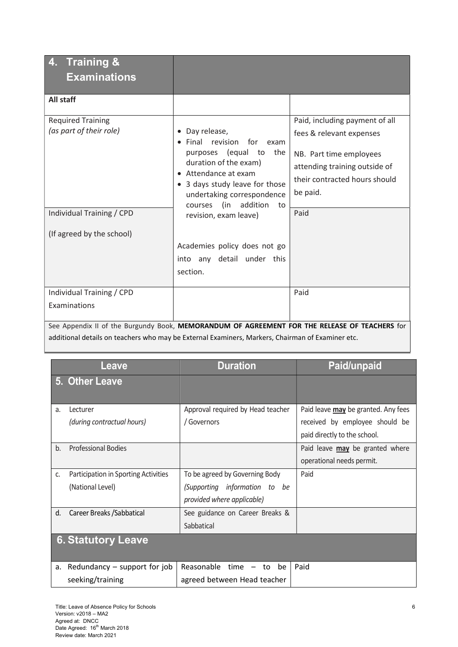| <b>Training &amp;</b><br><b>Examinations</b>                                                                                                                                                                                                                                                                                                                                                                                                                                                                                  |                                                                                                                                                                                                                                          |                                                                                                                                                                     |  |
|-------------------------------------------------------------------------------------------------------------------------------------------------------------------------------------------------------------------------------------------------------------------------------------------------------------------------------------------------------------------------------------------------------------------------------------------------------------------------------------------------------------------------------|------------------------------------------------------------------------------------------------------------------------------------------------------------------------------------------------------------------------------------------|---------------------------------------------------------------------------------------------------------------------------------------------------------------------|--|
| <b>All staff</b>                                                                                                                                                                                                                                                                                                                                                                                                                                                                                                              |                                                                                                                                                                                                                                          |                                                                                                                                                                     |  |
| <b>Required Training</b><br>(as part of their role)                                                                                                                                                                                                                                                                                                                                                                                                                                                                           | Day release,<br>$\bullet$<br>Final revision<br>for<br>exam<br>purposes (equal to<br>the<br>duration of the exam)<br>Attendance at exam<br>3 days study leave for those<br>undertaking correspondence<br>(in<br>addition<br>courses<br>to | Paid, including payment of all<br>fees & relevant expenses<br>NB. Part time employees<br>attending training outside of<br>their contracted hours should<br>be paid. |  |
| Individual Training / CPD<br>(If agreed by the school)                                                                                                                                                                                                                                                                                                                                                                                                                                                                        | revision, exam leave)                                                                                                                                                                                                                    | Paid                                                                                                                                                                |  |
|                                                                                                                                                                                                                                                                                                                                                                                                                                                                                                                               | Academies policy does not go<br>into any detail under this<br>section.                                                                                                                                                                   |                                                                                                                                                                     |  |
| Individual Training / CPD<br>Examinations                                                                                                                                                                                                                                                                                                                                                                                                                                                                                     |                                                                                                                                                                                                                                          | Paid                                                                                                                                                                |  |
| See Appendix II of the Burgundy Book, MEMORANDUM OF AGREEMENT FOR THE RELEASE OF TEACHERS for<br>$\mathbf{r} = \mathbf{r} + \mathbf{r} + \mathbf{r} + \mathbf{r} + \mathbf{r} + \mathbf{r} + \mathbf{r} + \mathbf{r} + \mathbf{r} + \mathbf{r} + \mathbf{r} + \mathbf{r} + \mathbf{r} + \mathbf{r} + \mathbf{r} + \mathbf{r} + \mathbf{r} + \mathbf{r} + \mathbf{r} + \mathbf{r} + \mathbf{r} + \mathbf{r} + \mathbf{r} + \mathbf{r} + \mathbf{r} + \mathbf{r} + \mathbf{r} + \mathbf{r} + \mathbf{r} + \mathbf{r} + \mathbf$ |                                                                                                                                                                                                                                          |                                                                                                                                                                     |  |

additional details on teachers who may be External Examiners, Markers, Chairman of Examiner etc.

|    | <b>Leave</b>                         | <b>Duration</b>                   | Paid/unpaid                         |
|----|--------------------------------------|-----------------------------------|-------------------------------------|
|    | 5. Other Leave                       |                                   |                                     |
|    |                                      |                                   |                                     |
| a. | Lecturer                             | Approval required by Head teacher | Paid leave may be granted. Any fees |
|    | (during contractual hours)           | ' Governors                       | received by employee should be      |
|    |                                      |                                   | paid directly to the school.        |
| b. | <b>Professional Bodies</b>           |                                   | Paid leave may be granted where     |
|    |                                      |                                   | operational needs permit.           |
| c. | Participation in Sporting Activities | To be agreed by Governing Body    | Paid                                |
|    | (National Level)                     | (Supporting information to be     |                                     |
|    |                                      | provided where applicable)        |                                     |
| d. | Career Breaks / Sabbatical           | See guidance on Career Breaks &   |                                     |
|    |                                      | Sabbatical                        |                                     |
|    | <b>6. Statutory Leave</b>            |                                   |                                     |
|    |                                      |                                   |                                     |
| a. | Redundancy – support for job         | Reasonable<br>$time - to be$      | Paid                                |
|    | seeking/training                     | agreed between Head teacher       |                                     |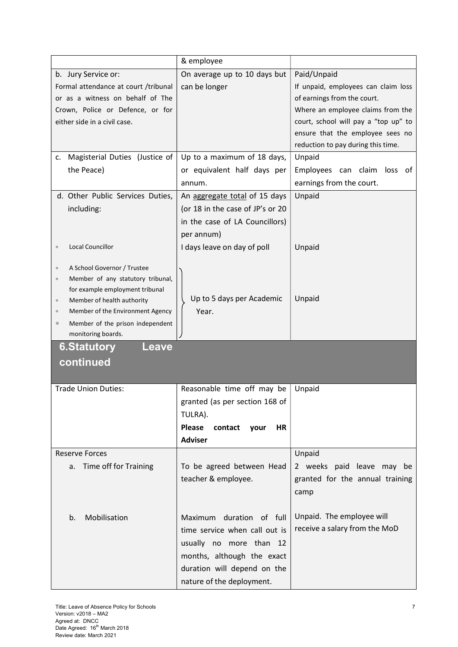|                                                                          | & employee                              |                                      |
|--------------------------------------------------------------------------|-----------------------------------------|--------------------------------------|
| b. Jury Service or:                                                      | On average up to 10 days but            | Paid/Unpaid                          |
| Formal attendance at court /tribunal                                     | can be longer                           | If unpaid, employees can claim loss  |
| or as a witness on behalf of The                                         |                                         | of earnings from the court.          |
| Crown, Police or Defence, or for                                         |                                         | Where an employee claims from the    |
| either side in a civil case.                                             |                                         | court, school will pay a "top up" to |
|                                                                          |                                         | ensure that the employee sees no     |
|                                                                          |                                         | reduction to pay during this time.   |
| Magisterial Duties (Justice of<br>c.                                     | Up to a maximum of 18 days,             | Unpaid                               |
| the Peace)                                                               | or equivalent half days per             | Employees can claim loss of          |
|                                                                          | annum.                                  | earnings from the court.             |
| d. Other Public Services Duties,                                         | An aggregate total of 15 days           | Unpaid                               |
| including:                                                               | (or 18 in the case of JP's or 20        |                                      |
|                                                                          | in the case of LA Councillors)          |                                      |
|                                                                          | per annum)                              |                                      |
| <b>Local Councillor</b>                                                  | I days leave on day of poll             | Unpaid                               |
|                                                                          |                                         |                                      |
| A School Governor / Trustee<br>$\circ$                                   |                                         |                                      |
| Member of any statutory tribunal,<br>$\circ$                             |                                         |                                      |
| for example employment tribunal<br>Member of health authority<br>$\circ$ | Up to 5 days per Academic               | Unpaid                               |
| Member of the Environment Agency<br>$\circ$                              | Year.                                   |                                      |
| Member of the prison independent                                         |                                         |                                      |
| monitoring boards.                                                       |                                         |                                      |
| <b>6.Statutory</b><br>Leave                                              |                                         |                                      |
| continued                                                                |                                         |                                      |
|                                                                          |                                         |                                      |
| <b>Trade Union Duties:</b>                                               | Reasonable time off may be              | Unpaid                               |
|                                                                          | granted (as per section 168 of          |                                      |
|                                                                          | TULRA).                                 |                                      |
|                                                                          | <b>Please</b><br>contact<br>your<br>HR. |                                      |
|                                                                          | <b>Adviser</b>                          |                                      |
| <b>Reserve Forces</b>                                                    |                                         | Unpaid                               |
| Time off for Training<br>a.                                              | To be agreed between Head               | 2 weeks paid leave<br>may be         |
|                                                                          | teacher & employee.                     |                                      |
|                                                                          |                                         | granted for the annual training      |
|                                                                          |                                         | camp                                 |
|                                                                          |                                         |                                      |
| Mobilisation<br>b.                                                       | Maximum duration of full                | Unpaid. The employee will            |
|                                                                          | time service when call out is           | receive a salary from the MoD        |
|                                                                          | usually no more than 12                 |                                      |
|                                                                          | months, although the exact              |                                      |
|                                                                          | duration will depend on the             |                                      |
|                                                                          | nature of the deployment.               |                                      |